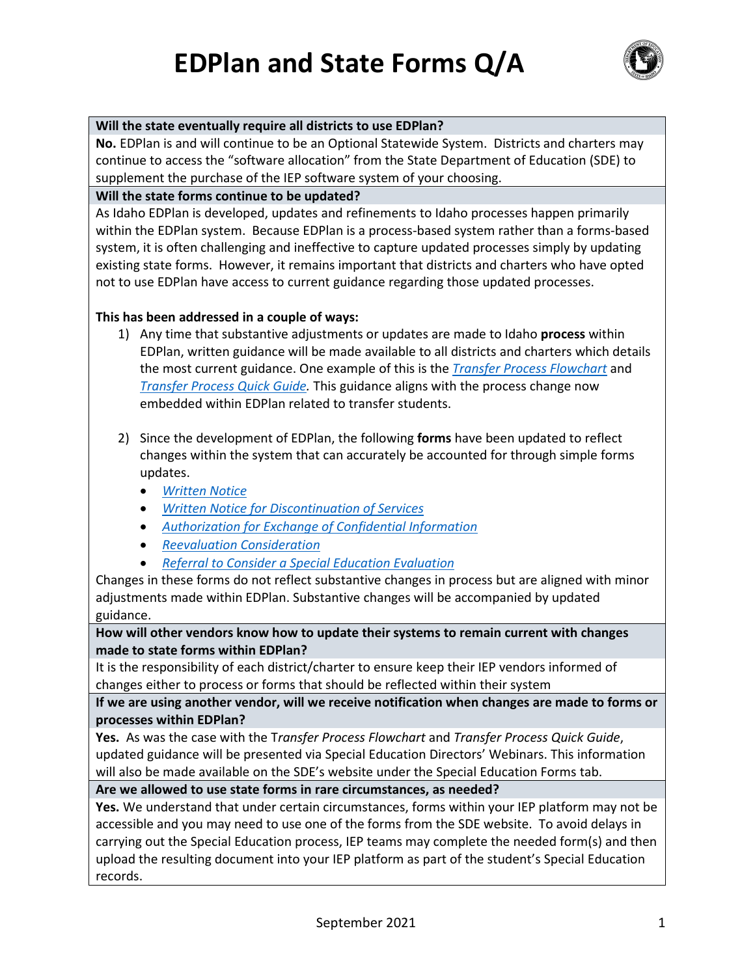**EDPlan and State Forms Q/A**



## **Will the state eventually require all districts to use EDPlan?**

**No.** EDPlan is and will continue to be an Optional Statewide System. Districts and charters may continue to access the "software allocation" from the State Department of Education (SDE) to supplement the purchase of the IEP software system of your choosing.

## **Will the state forms continue to be updated?**

As Idaho EDPlan is developed, updates and refinements to Idaho processes happen primarily within the EDPlan system. Because EDPlan is a process-based system rather than a forms-based system, it is often challenging and ineffective to capture updated processes simply by updating existing state forms. However, it remains important that districts and charters who have opted not to use EDPlan have access to current guidance regarding those updated processes.

## **This has been addressed in a couple of ways:**

- 1) Any time that substantive adjustments or updates are made to Idaho **process** within EDPlan, written guidance will be made available to all districts and charters which details the most current guidance. One example of this is the *[Transfer Process Flowchart](https://www.sde.idaho.gov/sped/sped-forms/files/transfer-process/Transfer-Process-Flowcharts.pdf)* and *[Transfer Process Quick Guide.](https://www.sde.idaho.gov/sped/sped-forms/files/transfer-process/Transfer-Process-Quick-Guide.pdf)* This guidance aligns with the process change now embedded within EDPlan related to transfer students.
- 2) Since the development of EDPlan, the following **forms** have been updated to reflect changes within the system that can accurately be accounted for through simple forms updates.
	- *[Written Notice](https://www.sde.idaho.gov/sped/sped-forms/files/general/Written-Notice.pdf)*
	- *Written [Notice for Discontinuation of Services](https://www.sde.idaho.gov/sped/sped-forms/files/other/Written-Notice-for-Discontinuation-of-Services.pdf)*
	- *[Authorization for Exchange of Confidential Information](https://www.sde.idaho.gov/sped/sped-forms/files/eligibility/Authorization-for-Exchange-of-Confidential-Information.pdf)*
	- *[Reevaluation Consideration](https://www.sde.idaho.gov/sped/sped-forms/files/other/Special-Education-Reevaluation-Consideration.pdf)*
	- *[Referral to Consider a Special Education Evaluation](https://www.sde.idaho.gov/sped/sped-forms/files/eligibility/Referral-to-Consider-Special-Education-Evaluation.pdf)*

Changes in these forms do not reflect substantive changes in process but are aligned with minor adjustments made within EDPlan. Substantive changes will be accompanied by updated guidance.

**How will other vendors know how to update their systems to remain current with changes made to state forms within EDPlan?**

It is the responsibility of each district/charter to ensure keep their IEP vendors informed of changes either to process or forms that should be reflected within their system

**If we are using another vendor, will we receive notification when changes are made to forms or processes within EDPlan?**

**Yes.** As was the case with the T*ransfer Process Flowchart* and *Transfer Process Quick Guide*, updated guidance will be presented via Special Education Directors' Webinars. This information will also be made available on the SDE's website under the Special Education Forms tab.

## **Are we allowed to use state forms in rare circumstances, as needed?**

**Yes.** We understand that under certain circumstances, forms within your IEP platform may not be accessible and you may need to use one of the forms from the SDE website. To avoid delays in carrying out the Special Education process, IEP teams may complete the needed form(s) and then upload the resulting document into your IEP platform as part of the student's Special Education records.